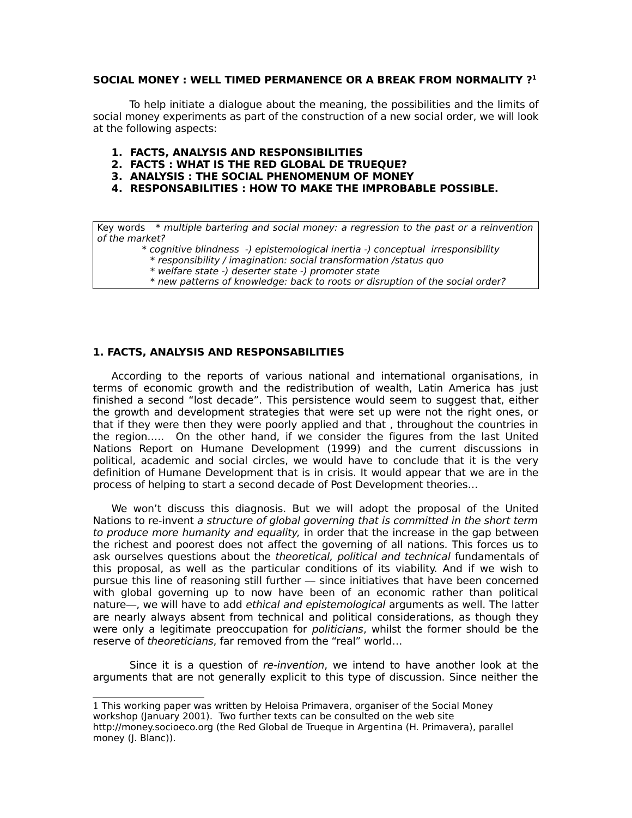### **SOCIAL MONEY : WELL TIMED PERMANENCE OR A BREAK FROM NORMALITY ? [1](#page-0-0)**

To help initiate a dialogue about the meaning, the possibilities and the limits of social money experiments as part of the construction of a new social order, we will look at the following aspects:

- **1. FACTS, ANALYSIS AND RESPONSIBILITIES**
- **2. FACTS : WHAT IS THE RED GLOBAL DE TRUEQUE?**
- **3. ANALYSIS : THE SOCIAL PHENOMENUM OF MONEY**
- **4. RESPONSABILITIES : HOW TO MAKE THE IMPROBABLE POSSIBLE.**

Key words \* multiple bartering and social money: a regression to the past or a reinvention of the market?

- \* cognitive blindness -) epistemological inertia -) conceptual irresponsibility
- \* responsibility / imagination: social transformation /status quo
- \* welfare state -) deserter state -) promoter state
- \* new patterns of knowledge: back to roots or disruption of the social order?

### **1. FACTS, ANALYSIS AND RESPONSABILITIES**

According to the reports of various national and international organisations, in terms of economic growth and the redistribution of wealth, Latin America has just finished a second "lost decade". This persistence would seem to suggest that, either the growth and development strategies that were set up were not the right ones, or that if they were then they were poorly applied and that , throughout the countries in the region….. On the other hand, if we consider the figures from the last United Nations Report on Humane Development (1999) and the current discussions in political, academic and social circles, we would have to conclude that it is the very definition of Humane Development that is in crisis. It would appear that we are in the process of helping to start a second decade of Post Development theories…

We won't discuss this diagnosis. But we will adopt the proposal of the United Nations to re-invent a structure of global governing that is committed in the short term to produce more humanity and equality, in order that the increase in the gap between the richest and poorest does not affect the governing of all nations. This forces us to ask ourselves questions about the theoretical, political and technical fundamentals of this proposal, as well as the particular conditions of its viability. And if we wish to pursue this line of reasoning still further –– since initiatives that have been concerned with global governing up to now have been of an economic rather than political nature—, we will have to add ethical and epistemological arguments as well. The latter are nearly always absent from technical and political considerations, as though they were only a legitimate preoccupation for *politicians*, whilst the former should be the reserve of theoreticians, far removed from the "real" world…

Since it is a question of re-invention, we intend to have another look at the arguments that are not generally explicit to this type of discussion. Since neither the

<span id="page-0-0"></span>1 This working paper was written by Heloisa Primavera, organiser of the Social Money workshop (January 2001). Two further texts can be consulted on the web site http://money.socioeco.org (the Red Global de Trueque in Argentina (H. Primavera), parallel money (J. Blanc)).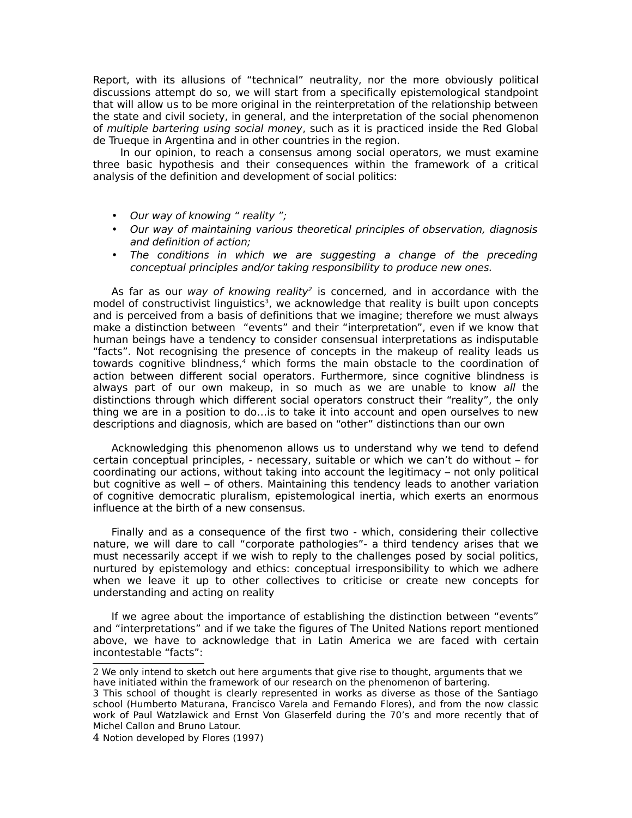Report, with its allusions of "technical" neutrality, nor the more obviously political discussions attempt do so, we will start from a specifically epistemological standpoint that will allow us to be more original in the reinterpretation of the relationship between the state and civil society, in general, and the interpretation of the social phenomenon of multiple bartering using social money, such as it is practiced inside the Red Global de Trueque in Argentina and in other countries in the region.

In our opinion, to reach a consensus among social operators, we must examine three basic hypothesis and their consequences within the framework of a critical analysis of the definition and development of social politics:

- Our way of knowing " reality ";
- Our way of maintaining various theoretical principles of observation, diagnosis and definition of action;
- The conditions in which we are suggesting a change of the preceding conceptual principles and/or taking responsibility to produce new ones.

As far as our w*ay of knowing reality<sup>[2](#page-1-0)</sup>* is concerned, and in accordance with the model of constructivist linguistics<sup>[3](#page-1-1)</sup>, we acknowledge that reality is built upon concepts and is perceived from a basis of definitions that we imagine; therefore we must always make a distinction between "events" and their "interpretation", even if we know that human beings have a tendency to consider consensual interpretations as indisputable "facts". Not recognising the presence of concepts in the makeup of reality leads us towards cognitive blindness, [4](#page-1-2) which forms the main obstacle to the coordination of action between different social operators. Furthermore, since cognitive blindness is always part of our own makeup, in so much as we are unable to know all the distinctions through which different social operators construct their "reality", the only thing we are in a position to do…is to take it into account and open ourselves to new descriptions and diagnosis, which are based on "other" distinctions than our own

Acknowledging this phenomenon allows us to understand why we tend to defend certain conceptual principles, - necessary, suitable or which we can't do without – for coordinating our actions, without taking into account the legitimacy – not only political but cognitive as well – of others. Maintaining this tendency leads to another variation of cognitive democratic pluralism, epistemological inertia, which exerts an enormous influence at the birth of a new consensus.

Finally and as a consequence of the first two - which, considering their collective nature, we will dare to call "corporate pathologies"- a third tendency arises that we must necessarily accept if we wish to reply to the challenges posed by social politics, nurtured by epistemology and ethics: conceptual irresponsibility to which we adhere when we leave it up to other collectives to criticise or create new concepts for understanding and acting on reality

If we agree about the importance of establishing the distinction between "events" and "interpretations" and if we take the figures of The United Nations report mentioned above, we have to acknowledge that in Latin America we are faced with certain incontestable "facts":

<span id="page-1-0"></span><sup>2</sup> We only intend to sketch out here arguments that give rise to thought, arguments that we have initiated within the framework of our research on the phenomenon of bartering.

<span id="page-1-1"></span><sup>3</sup> This school of thought is clearly represented in works as diverse as those of the Santiago school (Humberto Maturana, Francisco Varela and Fernando Flores), and from the now classic work of Paul Watzlawick and Ernst Von Glaserfeld during the 70's and more recently that of Michel Callon and Bruno Latour.

<span id="page-1-2"></span><sup>4</sup> Notion developed by Flores (1997)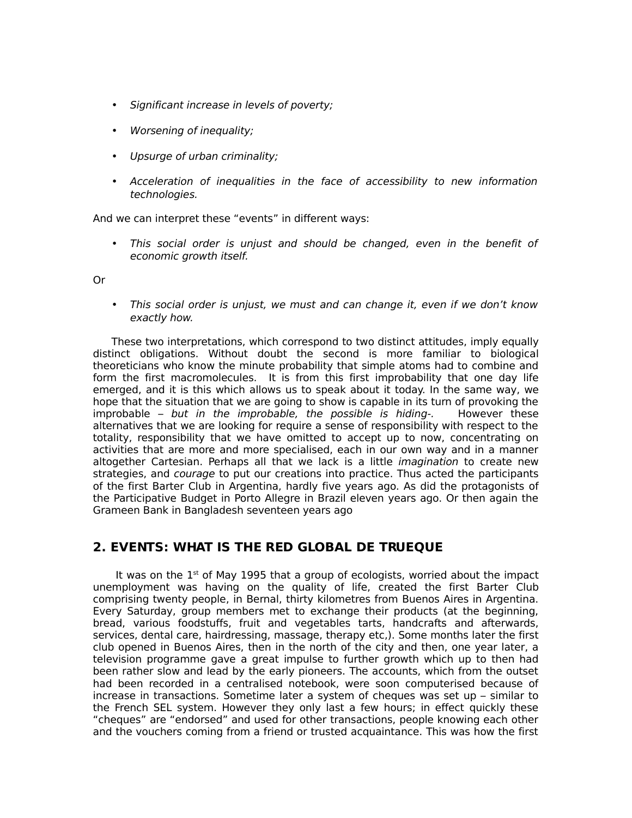- Significant increase in levels of poverty;
- Worsening of inequality;
- Upsurge of urban criminality;
- Acceleration of inequalities in the face of accessibility to new information technologies.

And we can interpret these "events" in different ways:

• This social order is unjust and should be changed, even in the benefit of economic growth itself.

Or

• This social order is unjust, we must and can change it, even if we don't know exactly how.

These two interpretations, which correspond to two distinct attitudes, imply equally distinct obligations. Without doubt the second is more familiar to biological theoreticians who know the minute probability that simple atoms had to combine and form the first macromolecules. It is from this first improbability that one day life emerged, and it is this which allows us to speak about it today. In the same way, we hope that the situation that we are going to show is capable in its turn of provoking the improbable - but in the improbable, the possible is hiding-. However these alternatives that we are looking for require a sense of responsibility with respect to the totality, responsibility that we have omitted to accept up to now, concentrating on activities that are more and more specialised, each in our own way and in a manner altogether Cartesian. Perhaps all that we lack is a little imagination to create new strategies, and courage to put our creations into practice. Thus acted the participants of the first Barter Club in Argentina, hardly five years ago. As did the protagonists of the Participative Budget in Porto Allegre in Brazil eleven years ago. Or then again the Grameen Bank in Bangladesh seventeen years ago

# **2. EVENTS: WHAT IS THE RED GLOBAL DE TRUEQUE**

It was on the  $1<sup>st</sup>$  of May 1995 that a group of ecologists, worried about the impact unemployment was having on the quality of life, created the first Barter Club comprising twenty people, in Bernal, thirty kilometres from Buenos Aires in Argentina. Every Saturday, group members met to exchange their products (at the beginning, bread, various foodstuffs, fruit and vegetables tarts, handcrafts and afterwards, services, dental care, hairdressing, massage, therapy etc,). Some months later the first club opened in Buenos Aires, then in the north of the city and then, one year later, a television programme gave a great impulse to further growth which up to then had been rather slow and lead by the early pioneers. The accounts, which from the outset had been recorded in a centralised notebook, were soon computerised because of increase in transactions. Sometime later a system of cheques was set up – similar to the French SEL system. However they only last a few hours; in effect quickly these "cheques" are "endorsed" and used for other transactions, people knowing each other and the vouchers coming from a friend or trusted acquaintance. This was how the first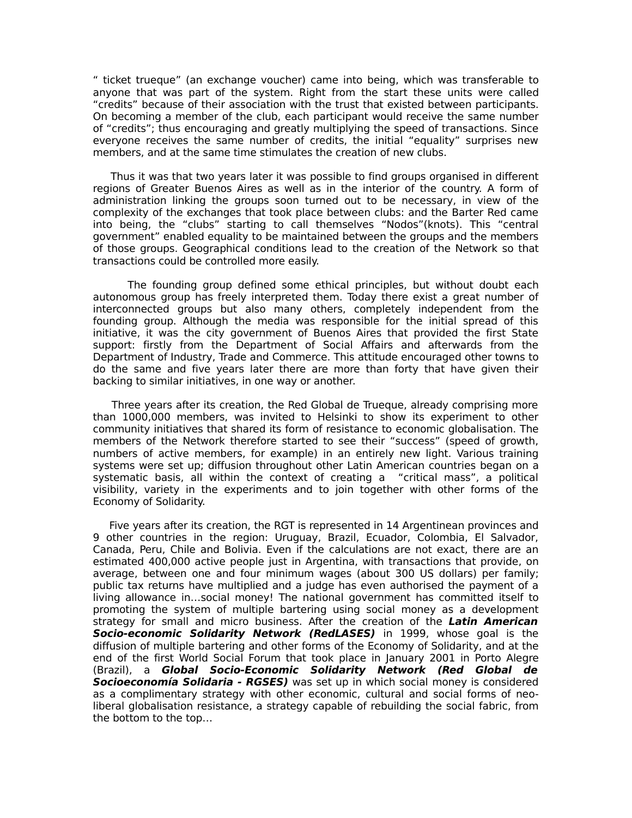" ticket trueque" (an exchange voucher) came into being, which was transferable to anyone that was part of the system. Right from the start these units were called "credits" because of their association with the trust that existed between participants. On becoming a member of the club, each participant would receive the same number of "credits"; thus encouraging and greatly multiplying the speed of transactions. Since everyone receives the same number of credits, the initial "equality" surprises new members, and at the same time stimulates the creation of new clubs.

Thus it was that two years later it was possible to find groups organised in different regions of Greater Buenos Aires as well as in the interior of the country. A form of administration linking the groups soon turned out to be necessary, in view of the complexity of the exchanges that took place between clubs: and the Barter Red came into being, the "clubs" starting to call themselves "Nodos"(knots). This "central government" enabled equality to be maintained between the groups and the members of those groups. Geographical conditions lead to the creation of the Network so that transactions could be controlled more easily.

The founding group defined some ethical principles, but without doubt each autonomous group has freely interpreted them. Today there exist a great number of interconnected groups but also many others, completely independent from the founding group. Although the media was responsible for the initial spread of this initiative, it was the city government of Buenos Aires that provided the first State support: firstly from the Department of Social Affairs and afterwards from the Department of Industry, Trade and Commerce. This attitude encouraged other towns to do the same and five years later there are more than forty that have given their backing to similar initiatives, in one way or another.

Three years after its creation, the Red Global de Trueque, already comprising more than 1000,000 members, was invited to Helsinki to show its experiment to other community initiatives that shared its form of resistance to economic globalisation. The members of the Network therefore started to see their "success" (speed of growth, numbers of active members, for example) in an entirely new light. Various training systems were set up; diffusion throughout other Latin American countries began on a systematic basis, all within the context of creating a "critical mass", a political visibility, variety in the experiments and to join together with other forms of the Economy of Solidarity.

 Five years after its creation, the RGT is represented in 14 Argentinean provinces and 9 other countries in the region: Uruguay, Brazil, Ecuador, Colombia, El Salvador, Canada, Peru, Chile and Bolivia. Even if the calculations are not exact, there are an estimated 400,000 active people just in Argentina, with transactions that provide, on average, between one and four minimum wages (about 300 US dollars) per family; public tax returns have multiplied and a judge has even authorised the payment of a living allowance in…social money! The national government has committed itself to promoting the system of multiple bartering using social money as a development strategy for small and micro business. After the creation of the **Latin American Socio-economic Solidarity Network (RedLASES)** in 1999, whose goal is the diffusion of multiple bartering and other forms of the Economy of Solidarity, and at the end of the first World Social Forum that took place in January 2001 in Porto Alegre (Brazil), a **Global Socio-Economic Solidarity Network (Red Global de Socioeconomía Solidaria - RGSES)** was set up in which social money is considered as a complimentary strategy with other economic, cultural and social forms of neoliberal globalisation resistance, a strategy capable of rebuilding the social fabric, from the bottom to the top…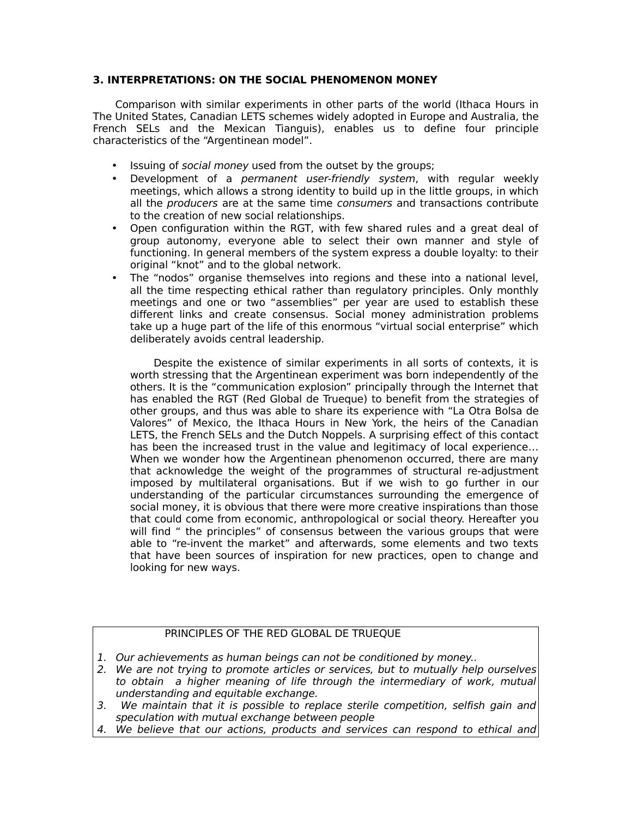## **3. INTERPRETATIONS: ON THE SOCIAL PHENOMENON MONEY**

Comparison with similar experiments in other parts of the world (Ithaca Hours in The United States, Canadian LETS schemes widely adopted in Europe and Australia, the French SELs and the Mexican Tianguis), enables us to define four principle characteristics of the "Argentinean model".

- Issuing of social money used from the outset by the groups;
- Development of a *permanent user-friendly system*, with regular weekly meetings, which allows a strong identity to build up in the little groups, in which all the *producers* are at the same time *consumers* and transactions contribute to the creation of new social relationships.
- Open configuration within the RGT, with few shared rules and a great deal of group autonomy, everyone able to select their own manner and style of functioning. In general members of the system express a double loyalty: to their original "knot" and to the global network.
- The "nodos" organise themselves into regions and these into a national level, all the time respecting ethical rather than regulatory principles. Only monthly meetings and one or two "assemblies" per year are used to establish these different links and create consensus. Social money administration problems take up a huge part of the life of this enormous "virtual social enterprise" which deliberately avoids central leadership.

Despite the existence of similar experiments in all sorts of contexts, it is worth stressing that the Argentinean experiment was born independently of the others. It is the "communication explosion" principally through the Internet that has enabled the RGT (Red Global de Trueque) to benefit from the strategies of other groups, and thus was able to share its experience with "La Otra Bolsa de Valores" of Mexico, the Ithaca Hours in New York, the heirs of the Canadian LETS, the French SELs and the Dutch Noppels. A surprising effect of this contact has been the increased trust in the value and legitimacy of local experience… When we wonder how the Argentinean phenomenon occurred, there are many that acknowledge the weight of the programmes of structural re-adjustment imposed by multilateral organisations. But if we wish to go further in our understanding of the particular circumstances surrounding the emergence of social money, it is obvious that there were more creative inspirations than those that could come from economic, anthropological or social theory. Hereafter you will find " the principles" of consensus between the various groups that were able to "re-invent the market" and afterwards, some elements and two texts that have been sources of inspiration for new practices, open to change and looking for new ways.

## PRINCIPLES OF THE RED GLOBAL DE TRUEQUE

- 1. Our achievements as human beings can not be conditioned by money..
- 2. We are not trying to promote articles or services, but to mutually help ourselves to obtain a higher meaning of life through the intermediary of work, mutual understanding and equitable exchange.
- 3. We maintain that it is possible to replace sterile competition, selfish gain and speculation with mutual exchange between people
- 4. We believe that our actions, products and services can respond to ethical and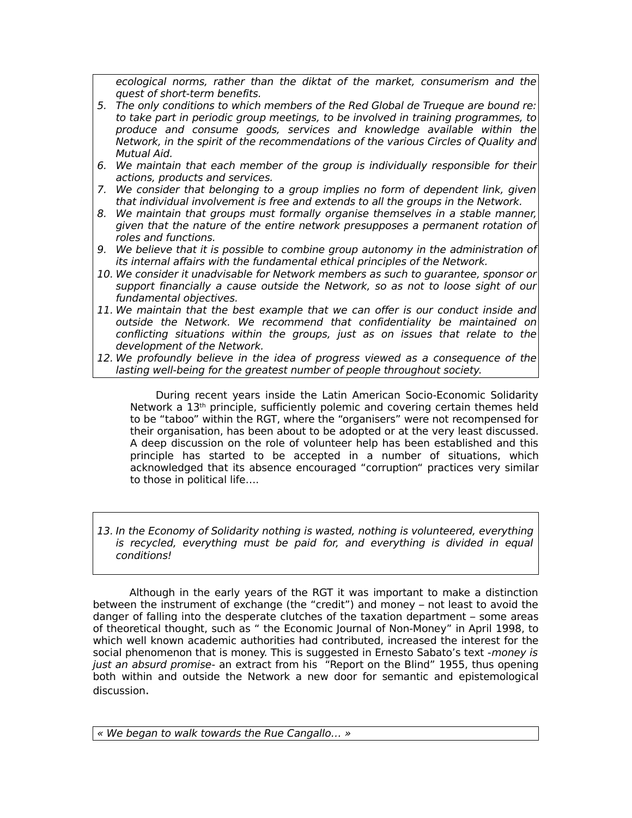ecological norms, rather than the diktat of the market, consumerism and the quest of short-term benefits.

- 5. The only conditions to which members of the Red Global de Trueque are bound re: to take part in periodic group meetings, to be involved in training programmes, to produce and consume goods, services and knowledge available within the Network, in the spirit of the recommendations of the various Circles of Quality and Mutual Aid.
- 6. We maintain that each member of the group is individually responsible for their actions, products and services.
- 7. We consider that belonging to a group implies no form of dependent link, given that individual involvement is free and extends to all the groups in the Network.
- 8. We maintain that groups must formally organise themselves in a stable manner, given that the nature of the entire network presupposes a permanent rotation of roles and functions.
- 9. We believe that it is possible to combine group autonomy in the administration of its internal affairs with the fundamental ethical principles of the Network.
- 10. We consider it unadvisable for Network members as such to guarantee, sponsor or support financially a cause outside the Network, so as not to loose sight of our fundamental objectives.
- 11. We maintain that the best example that we can offer is our conduct inside and outside the Network. We recommend that confidentiality be maintained on conflicting situations within the groups, just as on issues that relate to the development of the Network.
- 12. We profoundly believe in the idea of progress viewed as a consequence of the lasting well-being for the greatest number of people throughout society.

During recent years inside the Latin American Socio-Economic Solidarity Network a  $13<sup>th</sup>$  principle, sufficiently polemic and covering certain themes held to be "taboo" within the RGT, where the "organisers" were not recompensed for their organisation, has been about to be adopted or at the very least discussed. A deep discussion on the role of volunteer help has been established and this principle has started to be accepted in a number of situations, which acknowledged that its absence encouraged "corruption" practices very similar to those in political life….

13. In the Economy of Solidarity nothing is wasted, nothing is volunteered, everything is recycled, everything must be paid for, and everything is divided in equal conditions!

Although in the early years of the RGT it was important to make a distinction between the instrument of exchange (the "credit") and money – not least to avoid the danger of falling into the desperate clutches of the taxation department – some areas of theoretical thought, such as " the Economic Journal of Non-Money" in April 1998, to which well known academic authorities had contributed, increased the interest for the social phenomenon that is money. This is suggested in Ernesto Sabato's text -money is just an absurd promise- an extract from his "Report on the Blind" 1955, thus opening both within and outside the Network a new door for semantic and epistemological discussion.

« We began to walk towards the Rue Cangallo… »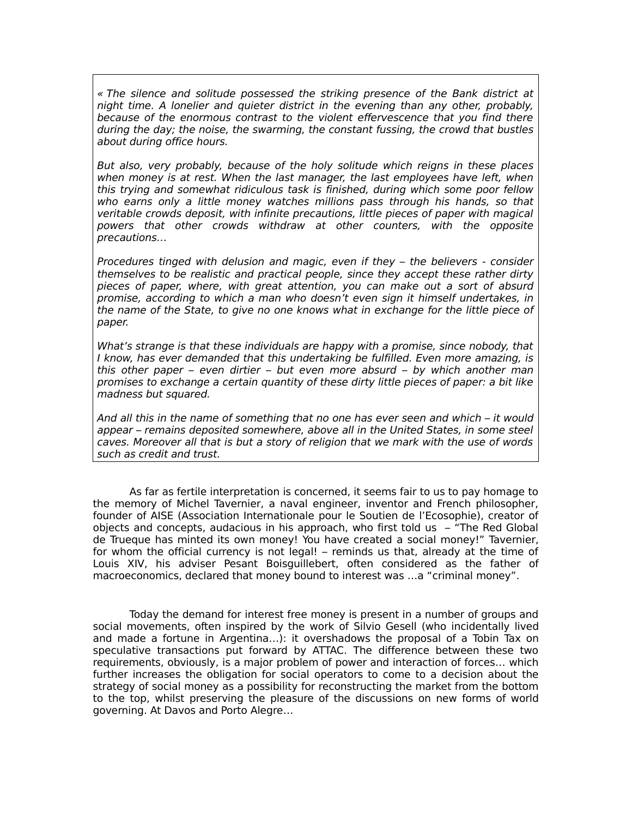« The silence and solitude possessed the striking presence of the Bank district at night time. A lonelier and quieter district in the evening than any other, probably, because of the enormous contrast to the violent effervescence that you find there during the day; the noise, the swarming, the constant fussing, the crowd that bustles about during office hours.

But also, very probably, because of the holy solitude which reigns in these places when money is at rest. When the last manager, the last employees have left, when this trying and somewhat ridiculous task is finished, during which some poor fellow who earns only a little money watches millions pass through his hands, so that veritable crowds deposit, with infinite precautions, little pieces of paper with magical powers that other crowds withdraw at other counters, with the opposite precautions…

Procedures tinged with delusion and magic, even if they – the believers - consider themselves to be realistic and practical people, since they accept these rather dirty pieces of paper, where, with great attention, you can make out a sort of absurd promise, according to which a man who doesn't even sign it himself undertakes, in the name of the State, to give no one knows what in exchange for the little piece of paper.

What's strange is that these individuals are happy with a promise, since nobody, that I know, has ever demanded that this undertaking be fulfilled. Even more amazing, is this other paper – even dirtier – but even more absurd – by which another man promises to exchange a certain quantity of these dirty little pieces of paper: a bit like madness but squared.

And all this in the name of something that no one has ever seen and which – it would appear – remains deposited somewhere, above all in the United States, in some steel caves. Moreover all that is but a story of religion that we mark with the use of words such as credit and trust.

As far as fertile interpretation is concerned, it seems fair to us to pay homage to the memory of Michel Tavernier, a naval engineer, inventor and French philosopher, founder of AISE (Association Internationale pour le Soutien de l'Ecosophie), creator of objects and concepts, audacious in his approach, who first told us  $-$  "The Red Global de Trueque has minted its own money! You have created a social money!" Tavernier, for whom the official currency is not legal! – reminds us that, already at the time of Louis XIV, his adviser Pesant Boisguillebert, often considered as the father of macroeconomics, declared that money bound to interest was …a "criminal money".

Today the demand for interest free money is present in a number of groups and social movements, often inspired by the work of Silvio Gesell (who incidentally lived and made a fortune in Argentina…): it overshadows the proposal of a Tobin Tax on speculative transactions put forward by ATTAC. The difference between these two requirements, obviously, is a major problem of power and interaction of forces… which further increases the obligation for social operators to come to a decision about the strategy of social money as a possibility for reconstructing the market from the bottom to the top, whilst preserving the pleasure of the discussions on new forms of world governing. At Davos and Porto Alegre…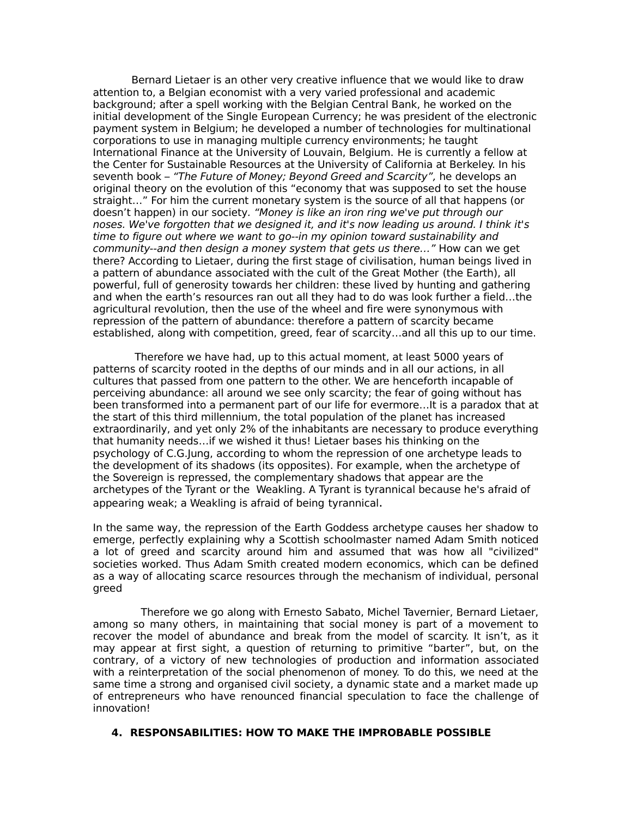Bernard Lietaer is an other very creative influence that we would like to draw attention to, a Belgian economist with a very varied professional and academic background; after a spell working with the Belgian Central Bank, he worked on the initial development of the Single European Currency; he was president of the electronic payment system in Belgium; he developed a number of technologies for multinational corporations to use in managing multiple currency environments; he taught International Finance at the University of Louvain, Belgium. He is currently a fellow at the Center for Sustainable Resources at the University of California at Berkeley. In his seventh book – "The Future of Money; Beyond Greed and Scarcity", he develops an original theory on the evolution of this "economy that was supposed to set the house straight…" For him the current monetary system is the source of all that happens (or doesn't happen) in our society. "Money is like an iron ring we've put through our noses. We've forgotten that we designed it, and it's now leading us around. I think it's time to figure out where we want to go--in my opinion toward sustainability and community--and then design a money system that gets us there…" How can we get there? According to Lietaer, during the first stage of civilisation, human beings lived in a pattern of abundance associated with the cult of the Great Mother (the Earth), all powerful, full of generosity towards her children: these lived by hunting and gathering and when the earth's resources ran out all they had to do was look further a field…the agricultural revolution, then the use of the wheel and fire were synonymous with repression of the pattern of abundance: therefore a pattern of scarcity became established, along with competition, greed, fear of scarcity…and all this up to our time.

 Therefore we have had, up to this actual moment, at least 5000 years of patterns of scarcity rooted in the depths of our minds and in all our actions, in all cultures that passed from one pattern to the other. We are henceforth incapable of perceiving abundance: all around we see only scarcity; the fear of going without has been transformed into a permanent part of our life for evermore…It is a paradox that at the start of this third millennium, the total population of the planet has increased extraordinarily, and yet only 2% of the inhabitants are necessary to produce everything that humanity needs…if we wished it thus! Lietaer bases his thinking on the psychology of C.G.Jung, according to whom the repression of one archetype leads to the development of its shadows (its opposites). For example, when the archetype of the Sovereign is repressed, the complementary shadows that appear are the archetypes of the Tyrant or the Weakling. A Tyrant is tyrannical because he's afraid of appearing weak; a Weakling is afraid of being tyrannical.

In the same way, the repression of the Earth Goddess archetype causes her shadow to emerge, perfectly explaining why a Scottish schoolmaster named Adam Smith noticed a lot of greed and scarcity around him and assumed that was how all "civilized" societies worked. Thus Adam Smith created modern economics, which can be defined as a way of allocating scarce resources through the mechanism of individual, personal greed

Therefore we go along with Ernesto Sabato, Michel Tavernier, Bernard Lietaer, among so many others, in maintaining that social money is part of a movement to recover the model of abundance and break from the model of scarcity. It isn't, as it may appear at first sight, a question of returning to primitive "barter", but, on the contrary, of a victory of new technologies of production and information associated with a reinterpretation of the social phenomenon of money. To do this, we need at the same time a strong and organised civil society, a dynamic state and a market made up of entrepreneurs who have renounced financial speculation to face the challenge of innovation!

#### **4. RESPONSABILITIES: HOW TO MAKE THE IMPROBABLE POSSIBLE**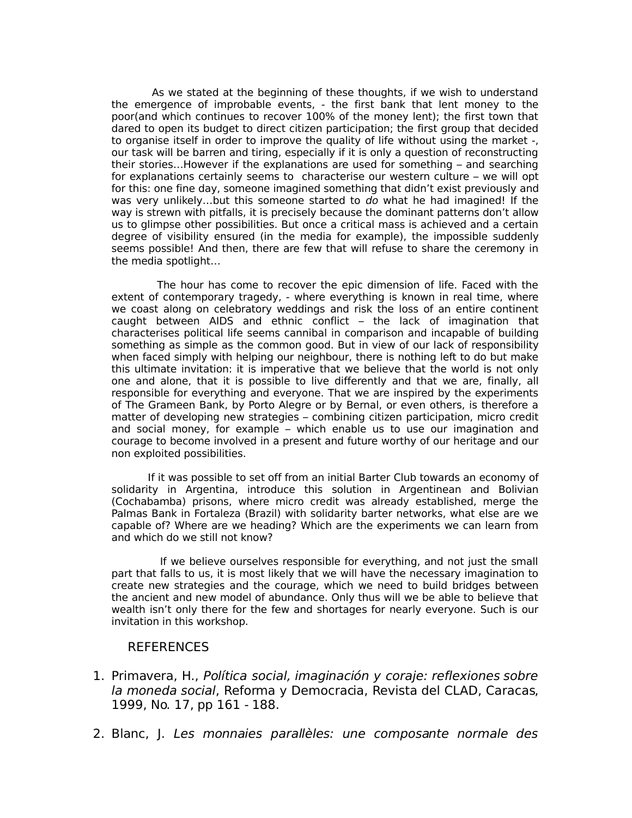As we stated at the beginning of these thoughts, if we wish to understand the emergence of improbable events, - the first bank that lent money to the poor(and which continues to recover 100% of the money lent); the first town that dared to open its budget to direct citizen participation; the first group that decided to organise itself in order to improve the quality of life without using the market -, our task will be barren and tiring, especially if it is only a question of reconstructing their stories…However if the explanations are used for something – and searching for explanations certainly seems to characterise our western culture – we will opt for this: one fine day, someone imagined something that didn't exist previously and was very unlikely...but this someone started to do what he had imagined! If the way is strewn with pitfalls, it is precisely because the dominant patterns don't allow us to glimpse other possibilities. But once a critical mass is achieved and a certain degree of visibility ensured (in the media for example), the impossible suddenly seems possible! And then, there are few that will refuse to share the ceremony in the media spotlight…

The hour has come to recover the epic dimension of life. Faced with the extent of contemporary tragedy, - where everything is known in real time, where we coast along on celebratory weddings and risk the loss of an entire continent caught between AIDS and ethnic conflict – the lack of imagination that characterises political life seems cannibal in comparison and incapable of building something as simple as the common good. But in view of our lack of responsibility when faced simply with helping our neighbour, there is nothing left to do but make this ultimate invitation: it is imperative that we believe that the world is not only one and alone, that it is possible to live differently and that we are, finally, all responsible for everything and everyone. That we are inspired by the experiments of The Grameen Bank, by Porto Alegre or by Bernal, or even others, is therefore a matter of developing new strategies – combining citizen participation, micro credit and social money, for example – which enable us to use our imagination and courage to become involved in a present and future worthy of our heritage and our non exploited possibilities.

 If it was possible to set off from an initial Barter Club towards an economy of solidarity in Argentina, introduce this solution in Argentinean and Bolivian (Cochabamba) prisons, where micro credit was already established, merge the Palmas Bank in Fortaleza (Brazil) with solidarity barter networks, what else are we capable of? Where are we heading? Which are the experiments we can learn from and which do we still not know?

If we believe ourselves responsible for everything, and not just the small part that falls to us, it is most likely that we will have the necessary imagination to create new strategies and the courage, which we need to build bridges between the ancient and new model of abundance. Only thus will we be able to believe that wealth isn't only there for the few and shortages for nearly everyone. Such is our invitation in this workshop.

## REFERENCES

- 1. Primavera, H., Política social, imaginación y coraje: reflexiones sobre la moneda social, Reforma y Democracia, Revista del CLAD, Caracas, 1999, No. 17, pp 161 - 188.
- 2. Blanc, J. Les monnaies parallèles: une composante normale des